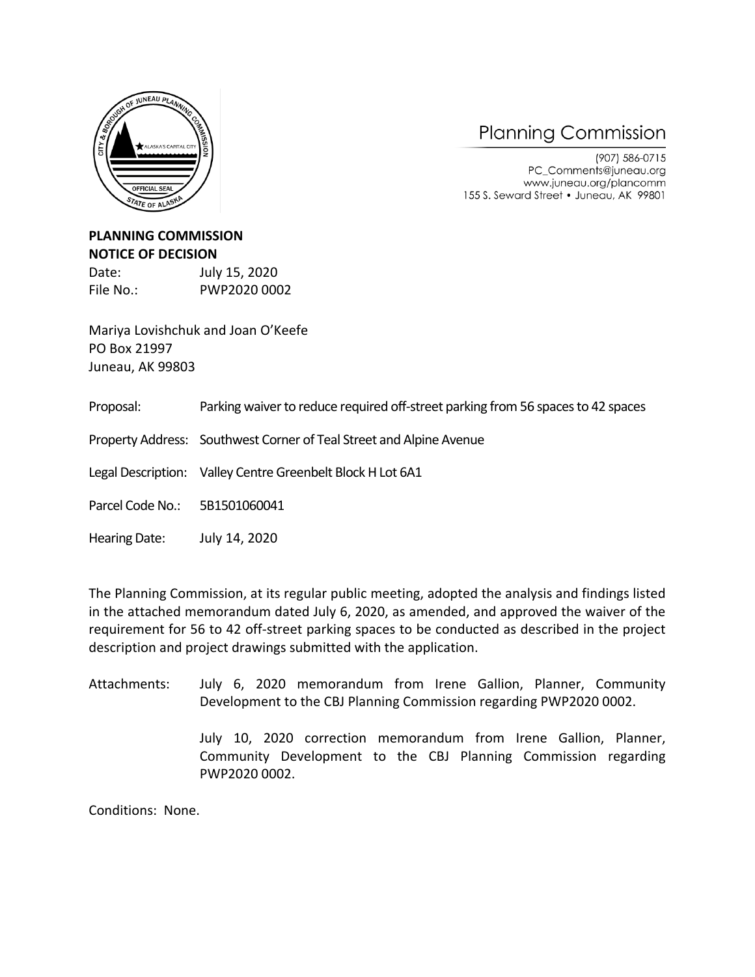

## **Planning Commission**

(907) 586-0715 PC\_Comments@juneau.org www.juneau.org/plancomm 155 S. Seward Street . Juneau, AK 99801

## **PLANNING COMMISSION NOTICE OF DECISION**

Date: July 15, 2020 File No.: PWP2020 0002

Mariya Lovishchuk and Joan O'Keefe PO Box 21997 Juneau, AK 99803

Proposal: Parking waiver to reduce required off-street parking from 56 spaces to 42 spaces

Property Address: Southwest Corner of Teal Street and Alpine Avenue

Legal Description: Valley Centre Greenbelt Block H Lot 6A1

Parcel Code No.: 5B1501060041

Hearing Date: July 14, 2020

The Planning Commission, at its regular public meeting, adopted the analysis and findings listed in the attached memorandum dated July 6, 2020, as amended, and approved the waiver of the requirement for 56 to 42 off-street parking spaces to be conducted as described in the project description and project drawings submitted with the application.

Attachments: July 6, 2020 memorandum from Irene Gallion, Planner, Community Development to the CBJ Planning Commission regarding PWP2020 0002.

> July 10, 2020 correction memorandum from Irene Gallion, Planner, Community Development to the CBJ Planning Commission regarding PWP2020 0002.

Conditions: None.